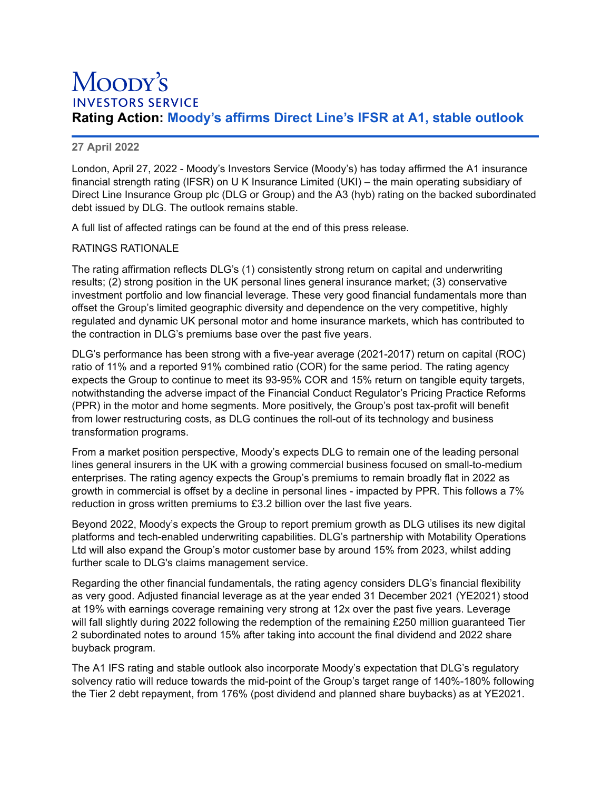# Moody's **INVESTORS SERVICE Rating Action: Moody's affirms Direct Line's IFSR at A1, stable outlook**

# **27 April 2022**

London, April 27, 2022 - Moody's Investors Service (Moody's) has today affirmed the A1 insurance financial strength rating (IFSR) on U K Insurance Limited (UKI) – the main operating subsidiary of Direct Line Insurance Group plc (DLG or Group) and the A3 (hyb) rating on the backed subordinated debt issued by DLG. The outlook remains stable.

A full list of affected ratings can be found at the end of this press release.

### RATINGS RATIONALE

The rating affirmation reflects DLG's (1) consistently strong return on capital and underwriting results; (2) strong position in the UK personal lines general insurance market; (3) conservative investment portfolio and low financial leverage. These very good financial fundamentals more than offset the Group's limited geographic diversity and dependence on the very competitive, highly regulated and dynamic UK personal motor and home insurance markets, which has contributed to the contraction in DLG's premiums base over the past five years.

DLG's performance has been strong with a five-year average (2021-2017) return on capital (ROC) ratio of 11% and a reported 91% combined ratio (COR) for the same period. The rating agency expects the Group to continue to meet its 93-95% COR and 15% return on tangible equity targets, notwithstanding the adverse impact of the Financial Conduct Regulator's Pricing Practice Reforms (PPR) in the motor and home segments. More positively, the Group's post tax-profit will benefit from lower restructuring costs, as DLG continues the roll-out of its technology and business transformation programs.

From a market position perspective, Moody's expects DLG to remain one of the leading personal lines general insurers in the UK with a growing commercial business focused on small-to-medium enterprises. The rating agency expects the Group's premiums to remain broadly flat in 2022 as growth in commercial is offset by a decline in personal lines - impacted by PPR. This follows a 7% reduction in gross written premiums to £3.2 billion over the last five years.

Beyond 2022, Moody's expects the Group to report premium growth as DLG utilises its new digital platforms and tech-enabled underwriting capabilities. DLG's partnership with Motability Operations Ltd will also expand the Group's motor customer base by around 15% from 2023, whilst adding further scale to DLG's claims management service.

Regarding the other financial fundamentals, the rating agency considers DLG's financial flexibility as very good. Adjusted financial leverage as at the year ended 31 December 2021 (YE2021) stood at 19% with earnings coverage remaining very strong at 12x over the past five years. Leverage will fall slightly during 2022 following the redemption of the remaining £250 million guaranteed Tier 2 subordinated notes to around 15% after taking into account the final dividend and 2022 share buyback program.

The A1 IFS rating and stable outlook also incorporate Moody's expectation that DLG's regulatory solvency ratio will reduce towards the mid-point of the Group's target range of 140%-180% following the Tier 2 debt repayment, from 176% (post dividend and planned share buybacks) as at YE2021.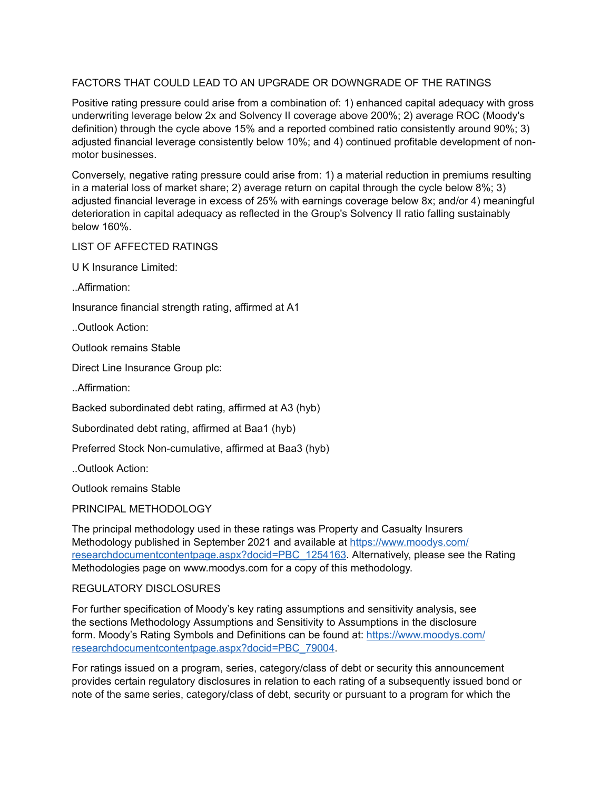# FACTORS THAT COULD LEAD TO AN UPGRADE OR DOWNGRADE OF THE RATINGS

Positive rating pressure could arise from a combination of: 1) enhanced capital adequacy with gross underwriting leverage below 2x and Solvency II coverage above 200%; 2) average ROC (Moody's definition) through the cycle above 15% and a reported combined ratio consistently around 90%; 3) adjusted financial leverage consistently below 10%; and 4) continued profitable development of nonmotor businesses.

Conversely, negative rating pressure could arise from: 1) a material reduction in premiums resulting in a material loss of market share; 2) average return on capital through the cycle below 8%; 3) adjusted financial leverage in excess of 25% with earnings coverage below 8x; and/or 4) meaningful deterioration in capital adequacy as reflected in the Group's Solvency II ratio falling sustainably below 160%.

LIST OF AFFECTED RATINGS

U K Insurance Limited:

..Affirmation:

Insurance financial strength rating, affirmed at A1

..Outlook Action:

Outlook remains Stable

Direct Line Insurance Group plc:

..Affirmation:

Backed subordinated debt rating, affirmed at A3 (hyb)

Subordinated debt rating, affirmed at Baa1 (hyb)

Preferred Stock Non-cumulative, affirmed at Baa3 (hyb)

..Outlook Action:

Outlook remains Stable

PRINCIPAL METHODOLOGY

The principal methodology used in these ratings was Property and Casualty Insurers Methodology published in September 2021 and available at [https://www.moodys.com/](https://www.moodys.com/researchdocumentcontentpage.aspx?docid=PBC_1254163) [researchdocumentcontentpage.aspx?docid=PBC\\_1254163](https://www.moodys.com/researchdocumentcontentpage.aspx?docid=PBC_1254163). Alternatively, please see the Rating Methodologies page on www.moodys.com for a copy of this methodology.

#### REGULATORY DISCLOSURES

For further specification of Moody's key rating assumptions and sensitivity analysis, see the sections Methodology Assumptions and Sensitivity to Assumptions in the disclosure form. Moody's Rating Symbols and Definitions can be found at: [https://www.moodys.com/](https://www.moodys.com/researchdocumentcontentpage.aspx?docid=PBC_79004) [researchdocumentcontentpage.aspx?docid=PBC\\_79004](https://www.moodys.com/researchdocumentcontentpage.aspx?docid=PBC_79004).

For ratings issued on a program, series, category/class of debt or security this announcement provides certain regulatory disclosures in relation to each rating of a subsequently issued bond or note of the same series, category/class of debt, security or pursuant to a program for which the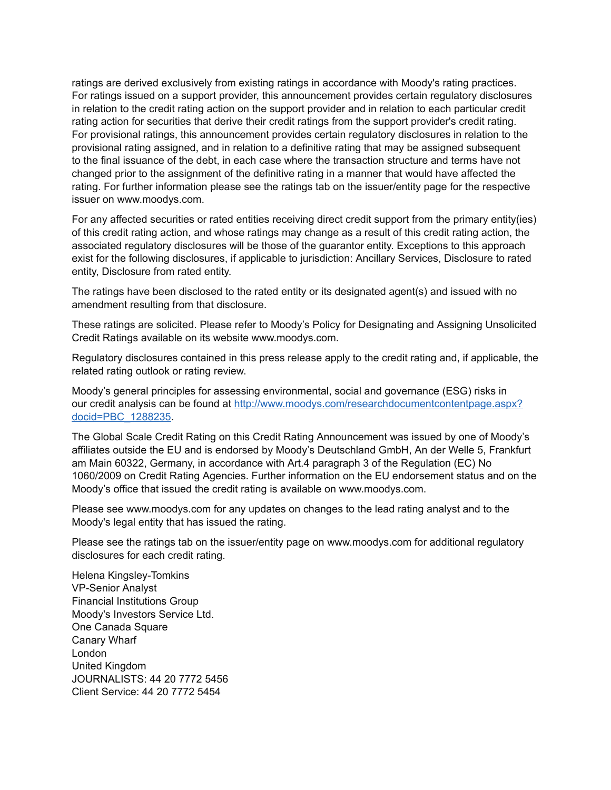ratings are derived exclusively from existing ratings in accordance with Moody's rating practices. For ratings issued on a support provider, this announcement provides certain regulatory disclosures in relation to the credit rating action on the support provider and in relation to each particular credit rating action for securities that derive their credit ratings from the support provider's credit rating. For provisional ratings, this announcement provides certain regulatory disclosures in relation to the provisional rating assigned, and in relation to a definitive rating that may be assigned subsequent to the final issuance of the debt, in each case where the transaction structure and terms have not changed prior to the assignment of the definitive rating in a manner that would have affected the rating. For further information please see the ratings tab on the issuer/entity page for the respective issuer on www.moodys.com.

For any affected securities or rated entities receiving direct credit support from the primary entity(ies) of this credit rating action, and whose ratings may change as a result of this credit rating action, the associated regulatory disclosures will be those of the guarantor entity. Exceptions to this approach exist for the following disclosures, if applicable to jurisdiction: Ancillary Services, Disclosure to rated entity, Disclosure from rated entity.

The ratings have been disclosed to the rated entity or its designated agent(s) and issued with no amendment resulting from that disclosure.

These ratings are solicited. Please refer to Moody's Policy for Designating and Assigning Unsolicited Credit Ratings available on its website www.moodys.com.

Regulatory disclosures contained in this press release apply to the credit rating and, if applicable, the related rating outlook or rating review.

Moody's general principles for assessing environmental, social and governance (ESG) risks in our credit analysis can be found at [http://www.moodys.com/researchdocumentcontentpage.aspx?](http://www.moodys.com/researchdocumentcontentpage.aspx?docid=PBC_1288235) [docid=PBC\\_1288235](http://www.moodys.com/researchdocumentcontentpage.aspx?docid=PBC_1288235).

The Global Scale Credit Rating on this Credit Rating Announcement was issued by one of Moody's affiliates outside the EU and is endorsed by Moody's Deutschland GmbH, An der Welle 5, Frankfurt am Main 60322, Germany, in accordance with Art.4 paragraph 3 of the Regulation (EC) No 1060/2009 on Credit Rating Agencies. Further information on the EU endorsement status and on the Moody's office that issued the credit rating is available on www.moodys.com.

Please see www.moodys.com for any updates on changes to the lead rating analyst and to the Moody's legal entity that has issued the rating.

Please see the ratings tab on the issuer/entity page on www.moodys.com for additional regulatory disclosures for each credit rating.

Helena Kingsley-Tomkins VP-Senior Analyst Financial Institutions Group Moody's Investors Service Ltd. One Canada Square Canary Wharf London United Kingdom JOURNALISTS: 44 20 7772 5456 Client Service: 44 20 7772 5454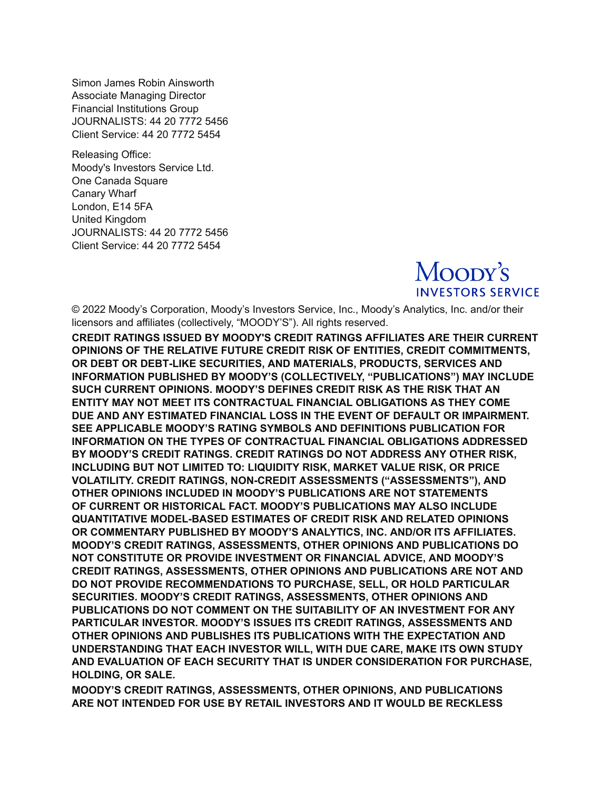Simon James Robin Ainsworth Associate Managing Director Financial Institutions Group JOURNALISTS: 44 20 7772 5456 Client Service: 44 20 7772 5454

Releasing Office: Moody's Investors Service Ltd. One Canada Square Canary Wharf London, E14 5FA United Kingdom JOURNALISTS: 44 20 7772 5456 Client Service: 44 20 7772 5454



© 2022 Moody's Corporation, Moody's Investors Service, Inc., Moody's Analytics, Inc. and/or their licensors and affiliates (collectively, "MOODY'S"). All rights reserved.

**CREDIT RATINGS ISSUED BY MOODY'S CREDIT RATINGS AFFILIATES ARE THEIR CURRENT OPINIONS OF THE RELATIVE FUTURE CREDIT RISK OF ENTITIES, CREDIT COMMITMENTS, OR DEBT OR DEBT-LIKE SECURITIES, AND MATERIALS, PRODUCTS, SERVICES AND INFORMATION PUBLISHED BY MOODY'S (COLLECTIVELY, "PUBLICATIONS") MAY INCLUDE SUCH CURRENT OPINIONS. MOODY'S DEFINES CREDIT RISK AS THE RISK THAT AN ENTITY MAY NOT MEET ITS CONTRACTUAL FINANCIAL OBLIGATIONS AS THEY COME DUE AND ANY ESTIMATED FINANCIAL LOSS IN THE EVENT OF DEFAULT OR IMPAIRMENT. SEE APPLICABLE MOODY'S RATING SYMBOLS AND DEFINITIONS PUBLICATION FOR INFORMATION ON THE TYPES OF CONTRACTUAL FINANCIAL OBLIGATIONS ADDRESSED BY MOODY'S CREDIT RATINGS. CREDIT RATINGS DO NOT ADDRESS ANY OTHER RISK, INCLUDING BUT NOT LIMITED TO: LIQUIDITY RISK, MARKET VALUE RISK, OR PRICE VOLATILITY. CREDIT RATINGS, NON-CREDIT ASSESSMENTS ("ASSESSMENTS"), AND OTHER OPINIONS INCLUDED IN MOODY'S PUBLICATIONS ARE NOT STATEMENTS OF CURRENT OR HISTORICAL FACT. MOODY'S PUBLICATIONS MAY ALSO INCLUDE QUANTITATIVE MODEL-BASED ESTIMATES OF CREDIT RISK AND RELATED OPINIONS OR COMMENTARY PUBLISHED BY MOODY'S ANALYTICS, INC. AND/OR ITS AFFILIATES. MOODY'S CREDIT RATINGS, ASSESSMENTS, OTHER OPINIONS AND PUBLICATIONS DO NOT CONSTITUTE OR PROVIDE INVESTMENT OR FINANCIAL ADVICE, AND MOODY'S CREDIT RATINGS, ASSESSMENTS, OTHER OPINIONS AND PUBLICATIONS ARE NOT AND DO NOT PROVIDE RECOMMENDATIONS TO PURCHASE, SELL, OR HOLD PARTICULAR SECURITIES. MOODY'S CREDIT RATINGS, ASSESSMENTS, OTHER OPINIONS AND PUBLICATIONS DO NOT COMMENT ON THE SUITABILITY OF AN INVESTMENT FOR ANY PARTICULAR INVESTOR. MOODY'S ISSUES ITS CREDIT RATINGS, ASSESSMENTS AND OTHER OPINIONS AND PUBLISHES ITS PUBLICATIONS WITH THE EXPECTATION AND UNDERSTANDING THAT EACH INVESTOR WILL, WITH DUE CARE, MAKE ITS OWN STUDY AND EVALUATION OF EACH SECURITY THAT IS UNDER CONSIDERATION FOR PURCHASE, HOLDING, OR SALE.**

**MOODY'S CREDIT RATINGS, ASSESSMENTS, OTHER OPINIONS, AND PUBLICATIONS ARE NOT INTENDED FOR USE BY RETAIL INVESTORS AND IT WOULD BE RECKLESS**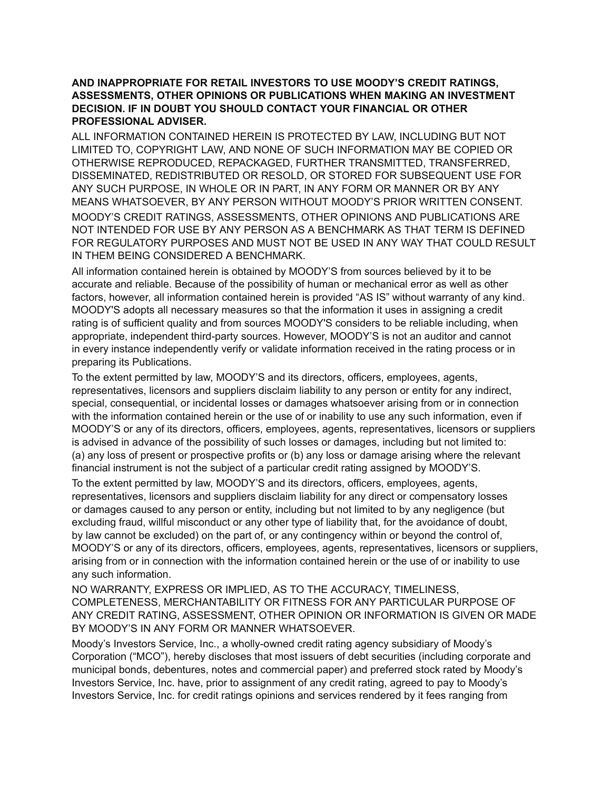# **AND INAPPROPRIATE FOR RETAIL INVESTORS TO USE MOODY'S CREDIT RATINGS, ASSESSMENTS, OTHER OPINIONS OR PUBLICATIONS WHEN MAKING AN INVESTMENT DECISION. IF IN DOUBT YOU SHOULD CONTACT YOUR FINANCIAL OR OTHER PROFESSIONAL ADVISER.**

ALL INFORMATION CONTAINED HEREIN IS PROTECTED BY LAW, INCLUDING BUT NOT LIMITED TO, COPYRIGHT LAW, AND NONE OF SUCH INFORMATION MAY BE COPIED OR OTHERWISE REPRODUCED, REPACKAGED, FURTHER TRANSMITTED, TRANSFERRED, DISSEMINATED, REDISTRIBUTED OR RESOLD, OR STORED FOR SUBSEQUENT USE FOR ANY SUCH PURPOSE, IN WHOLE OR IN PART, IN ANY FORM OR MANNER OR BY ANY MEANS WHATSOEVER, BY ANY PERSON WITHOUT MOODY'S PRIOR WRITTEN CONSENT. MOODY'S CREDIT RATINGS, ASSESSMENTS, OTHER OPINIONS AND PUBLICATIONS ARE NOT INTENDED FOR USE BY ANY PERSON AS A BENCHMARK AS THAT TERM IS DEFINED FOR REGULATORY PURPOSES AND MUST NOT BE USED IN ANY WAY THAT COULD RESULT IN THEM BEING CONSIDERED A BENCHMARK.

All information contained herein is obtained by MOODY'S from sources believed by it to be accurate and reliable. Because of the possibility of human or mechanical error as well as other factors, however, all information contained herein is provided "AS IS" without warranty of any kind. MOODY'S adopts all necessary measures so that the information it uses in assigning a credit rating is of sufficient quality and from sources MOODY'S considers to be reliable including, when appropriate, independent third-party sources. However, MOODY'S is not an auditor and cannot in every instance independently verify or validate information received in the rating process or in preparing its Publications.

To the extent permitted by law, MOODY'S and its directors, officers, employees, agents, representatives, licensors and suppliers disclaim liability to any person or entity for any indirect, special, consequential, or incidental losses or damages whatsoever arising from or in connection with the information contained herein or the use of or inability to use any such information, even if MOODY'S or any of its directors, officers, employees, agents, representatives, licensors or suppliers is advised in advance of the possibility of such losses or damages, including but not limited to: (a) any loss of present or prospective profits or (b) any loss or damage arising where the relevant financial instrument is not the subject of a particular credit rating assigned by MOODY'S.

To the extent permitted by law, MOODY'S and its directors, officers, employees, agents, representatives, licensors and suppliers disclaim liability for any direct or compensatory losses or damages caused to any person or entity, including but not limited to by any negligence (but excluding fraud, willful misconduct or any other type of liability that, for the avoidance of doubt, by law cannot be excluded) on the part of, or any contingency within or beyond the control of, MOODY'S or any of its directors, officers, employees, agents, representatives, licensors or suppliers, arising from or in connection with the information contained herein or the use of or inability to use any such information.

NO WARRANTY, EXPRESS OR IMPLIED, AS TO THE ACCURACY, TIMELINESS, COMPLETENESS, MERCHANTABILITY OR FITNESS FOR ANY PARTICULAR PURPOSE OF ANY CREDIT RATING, ASSESSMENT, OTHER OPINION OR INFORMATION IS GIVEN OR MADE BY MOODY'S IN ANY FORM OR MANNER WHATSOEVER.

Moody's Investors Service, Inc., a wholly-owned credit rating agency subsidiary of Moody's Corporation ("MCO"), hereby discloses that most issuers of debt securities (including corporate and municipal bonds, debentures, notes and commercial paper) and preferred stock rated by Moody's Investors Service, Inc. have, prior to assignment of any credit rating, agreed to pay to Moody's Investors Service, Inc. for credit ratings opinions and services rendered by it fees ranging from